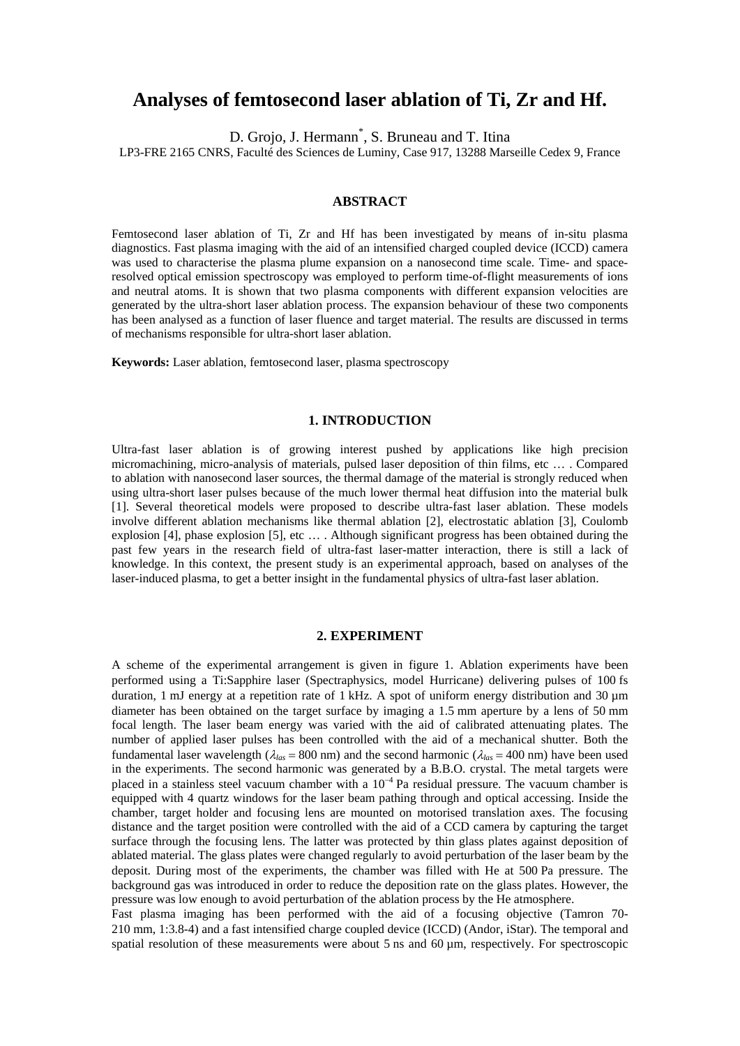# **Analyses of femtosecond laser ablation of Ti, Zr and Hf.**

D. Grojo, J. Hermann<sup>\*</sup>, S. Bruneau and T. Itina

LP3-FRE 2165 CNRS, Faculté des Sciences de Luminy, Case 917, 13288 Marseille Cedex 9, France

# **ABSTRACT**

Femtosecond laser ablation of Ti, Zr and Hf has been investigated by means of in-situ plasma diagnostics. Fast plasma imaging with the aid of an intensified charged coupled device (ICCD) camera was used to characterise the plasma plume expansion on a nanosecond time scale. Time- and spaceresolved optical emission spectroscopy was employed to perform time-of-flight measurements of ions and neutral atoms. It is shown that two plasma components with different expansion velocities are generated by the ultra-short laser ablation process. The expansion behaviour of these two components has been analysed as a function of laser fluence and target material. The results are discussed in terms of mechanisms responsible for ultra-short laser ablation.

**Keywords:** Laser ablation, femtosecond laser, plasma spectroscopy

# **1. INTRODUCTION**

Ultra-fast laser ablation is of growing interest pushed by applications like high precision micromachining, micro-analysis of materials, pulsed laser deposition of thin films, etc … . Compared to ablation with nanosecond laser sources, the thermal damage of the material is strongly reduced when using ultra-short laser pulses because of the much lower thermal heat diffusion into the material bulk [1]. Several theoretical models were proposed to describe ultra-fast laser ablation. These models involve different ablation mechanisms like thermal ablation [2], electrostatic ablation [3], Coulomb explosion [4], phase explosion [5], etc … . Although significant progress has been obtained during the past few years in the research field of ultra-fast laser-matter interaction, there is still a lack of knowledge. In this context, the present study is an experimental approach, based on analyses of the laser-induced plasma, to get a better insight in the fundamental physics of ultra-fast laser ablation.

# **2. EXPERIMENT**

A scheme of the experimental arrangement is given in figure 1. Ablation experiments have been performed using a Ti:Sapphire laser (Spectraphysics, model Hurricane) delivering pulses of 100 fs duration, 1 mJ energy at a repetition rate of 1 kHz. A spot of uniform energy distribution and 30  $\mu$ m diameter has been obtained on the target surface by imaging a 1.5 mm aperture by a lens of 50 mm focal length. The laser beam energy was varied with the aid of calibrated attenuating plates. The number of applied laser pulses has been controlled with the aid of a mechanical shutter. Both the fundamental laser wavelength ( $\lambda_{las}$  = 800 nm) and the second harmonic ( $\lambda_{las}$  = 400 nm) have been used in the experiments. The second harmonic was generated by a B.B.O. crystal. The metal targets were placed in a stainless steel vacuum chamber with a  $10^{-4}$  Pa residual pressure. The vacuum chamber is equipped with 4 quartz windows for the laser beam pathing through and optical accessing. Inside the chamber, target holder and focusing lens are mounted on motorised translation axes. The focusing distance and the target position were controlled with the aid of a CCD camera by capturing the target surface through the focusing lens. The latter was protected by thin glass plates against deposition of ablated material. The glass plates were changed regularly to avoid perturbation of the laser beam by the deposit. During most of the experiments, the chamber was filled with He at 500 Pa pressure. The background gas was introduced in order to reduce the deposition rate on the glass plates. However, the pressure was low enough to avoid perturbation of the ablation process by the He atmosphere.

Fast plasma imaging has been performed with the aid of a focusing objective (Tamron 70- 210 mm, 1:3.8-4) and a fast intensified charge coupled device (ICCD) (Andor, iStar). The temporal and spatial resolution of these measurements were about 5 ns and  $60 \mu m$ , respectively. For spectroscopic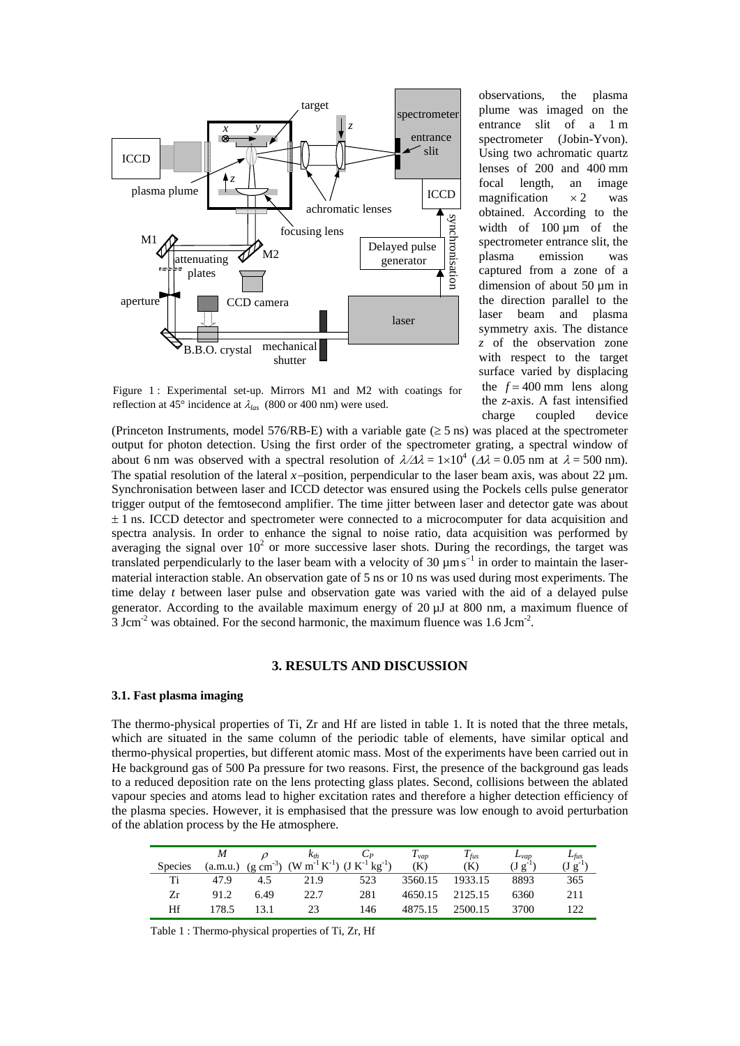

observations, the plasma plume was imaged on the entrance slit of a 1 m spectrometer (Jobin-Yvon). Using two achromatic quartz lenses of 200 and 400 mm focal length, an image magnification  $\times 2$  was obtained. According to the width of 100 um of the spectrometer entrance slit, the plasma emission was captured from a zone of a dimension of about 50 µm in the direction parallel to the laser beam and plasma symmetry axis. The distance *z* of the observation zone with respect to the target surface varied by displacing the  $f = 400$  mm lens along the *z*-axis. A fast intensified charge coupled device

Figure 1: Experimental set-up. Mirrors M1 and M2 with coatings for reflection at 45° incidence at λ*las* (800 or 400 nm) were used.

(Princeton Instruments, model 576/RB-E) with a variable gate ( $\geq$  5 ns) was placed at the spectrometer output for photon detection. Using the first order of the spectrometer grating, a spectral window of about 6 nm was observed with a spectral resolution of  $\lambda/\Delta\lambda = 1 \times 10^4$  ( $\Delta\lambda = 0.05$  nm at  $\lambda = 500$  nm). The spatial resolution of the lateral *x*−position, perpendicular to the laser beam axis, was about 22 µm. Synchronisation between laser and ICCD detector was ensured using the Pockels cells pulse generator trigger output of the femtosecond amplifier. The time jitter between laser and detector gate was about  $\pm$  1 ns. ICCD detector and spectrometer were connected to a microcomputer for data acquisition and spectra analysis. In order to enhance the signal to noise ratio, data acquisition was performed by averaging the signal over  $10<sup>2</sup>$  or more successive laser shots. During the recordings, the target was translated perpendicularly to the laser beam with a velocity of 30  $\mu$ ms<sup>-1</sup> in order to maintain the lasermaterial interaction stable. An observation gate of 5 ns or 10 ns was used during most experiments. The time delay *t* between laser pulse and observation gate was varied with the aid of a delayed pulse generator. According to the available maximum energy of 20 µJ at 800 nm, a maximum fluence of Maximum for the second and times of the second harmonic, the second material interaction stable and the second harmonic, the maximum fluence was 1.6 Jcm<sup>-3</sup> years obtained. The second harmonic synchronisation between lase

#### **3. RESULTS AND DISCUSSION**

#### **3.1. Fast plasma imaging**

The thermo-physical properties of Ti, Zr and Hf are listed in table 1. It is noted that the three metals, which are situated in the same column of the periodic table of elements, have similar optical and thermo-physical properties, but different atomic mass. Most of the experiments have been carried out in He background gas of 500 Pa pressure for two reasons. First, the presence of the background gas leads to a reduced deposition rate on the lens protecting glass plates. Second, collisions between the ablated vapour species and atoms lead to higher excitation rates and therefore a higher detection efficiency of the plasma species. However, it is emphasised that the pressure was low enough to avoid perturbation of the ablation process by the He atmosphere.

|                |          |      | $\kappa_{th}$                                                                        |     | $I_{vap}$ | $I_{fus}$       | $L_{Vap}$    | $L_{fus}$   |
|----------------|----------|------|--------------------------------------------------------------------------------------|-----|-----------|-----------------|--------------|-------------|
| <b>Species</b> | (a.m.u.) |      | $(g cm3)$ (W m <sup>-1</sup> K <sup>-1</sup> ) (J K <sup>-1</sup> kg <sup>-1</sup> ) |     | (K)       | (K)             | $(J g^{-1})$ | $(Jg^{-1})$ |
| Ti             | 47.9     | 4.5  | 21.9                                                                                 | 523 | 3560.15   | 1933.15         | 8893         | 365         |
| Ζr             | 91.2     | 6.49 | 22.7                                                                                 | 281 |           | 4650.15 2125.15 | 6360         | 211         |
| Hf             | 178.5    |      | 23                                                                                   | 146 | 4875.15   | 2500.15         | 3700         | 122         |

Table 1 : Thermo-physical properties of Ti, Zr, Hf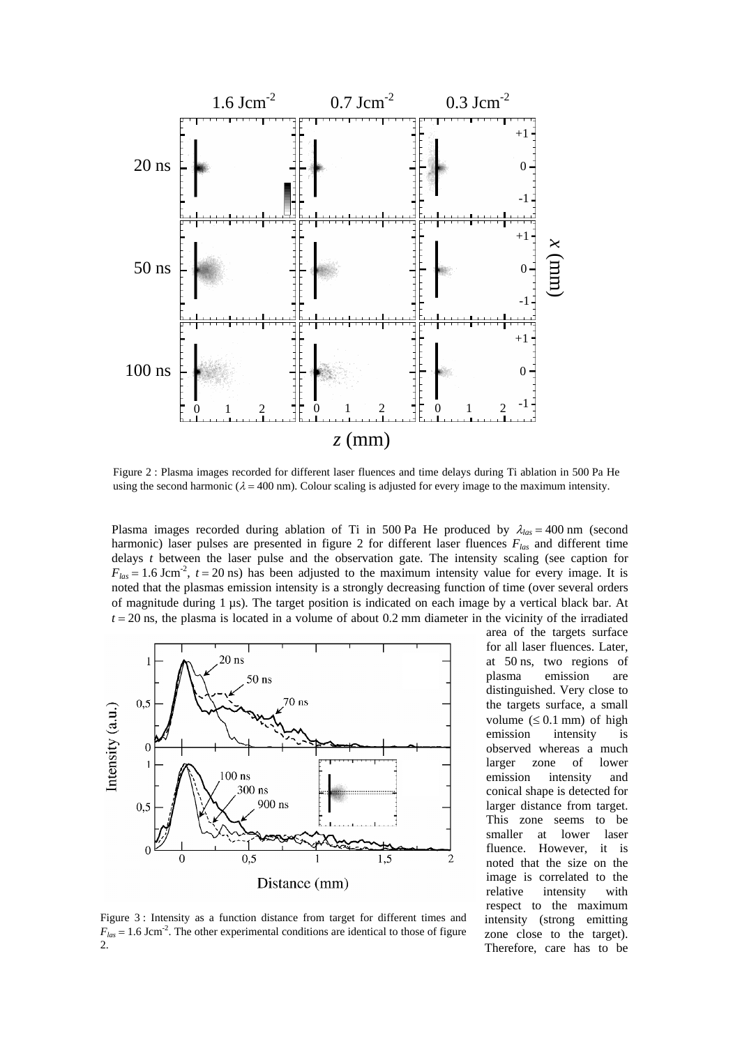

Figure 2 : Plasma images recorded for different laser fluences and time delays during Ti ablation in 500 Pa He using the second harmonic ( $\lambda = 400$  nm). Colour scaling is adjusted for every image to the maximum intensity.

Plasma images recorded during ablation of Ti in 500 Pa He produced by  $\lambda_{\text{las}} = 400 \text{ nm}$  (second harmonic) laser pulses are presented in figure 2 for different laser fluences *Flas* and different time delays *t* between the laser pulse and the observation gate. The intensity scaling (see caption for  $F_{las} = 1.6$  Jcm<sup>-2</sup>,  $t = 20$  ns) has been adjusted to the maximum intensity value for every image. It is noted that the plasmas emission intensity is a strongly decreasing function of time (over several orders of magnitude during 1 µs). The target position is indicated on each image by a vertical black bar. At  $t = 20$  ns, the plasma is located in a volume of about 0.2 mm diameter in the vicinity of the irradiated



Figure 3 : Intensity as a function distance from target for different times and  $F_{las} = 1.6$  Jcm<sup>-2</sup>. The other experimental conditions are identical to those of figure 2.

area of the targets surface for all laser fluences. Later, at 50 ns, two regions of plasma emission are distinguished. Very close to the targets surface, a small volume  $( \leq 0.1$  mm) of high emission intensity is observed whereas a much larger zone of lower emission intensity and conical shape is detected for larger distance from target. This zone seems to be smaller at lower laser fluence. However, it is noted that the size on the image is correlated to the relative intensity with respect to the maximum intensity (strong emitting zone close to the target). Therefore, care has to be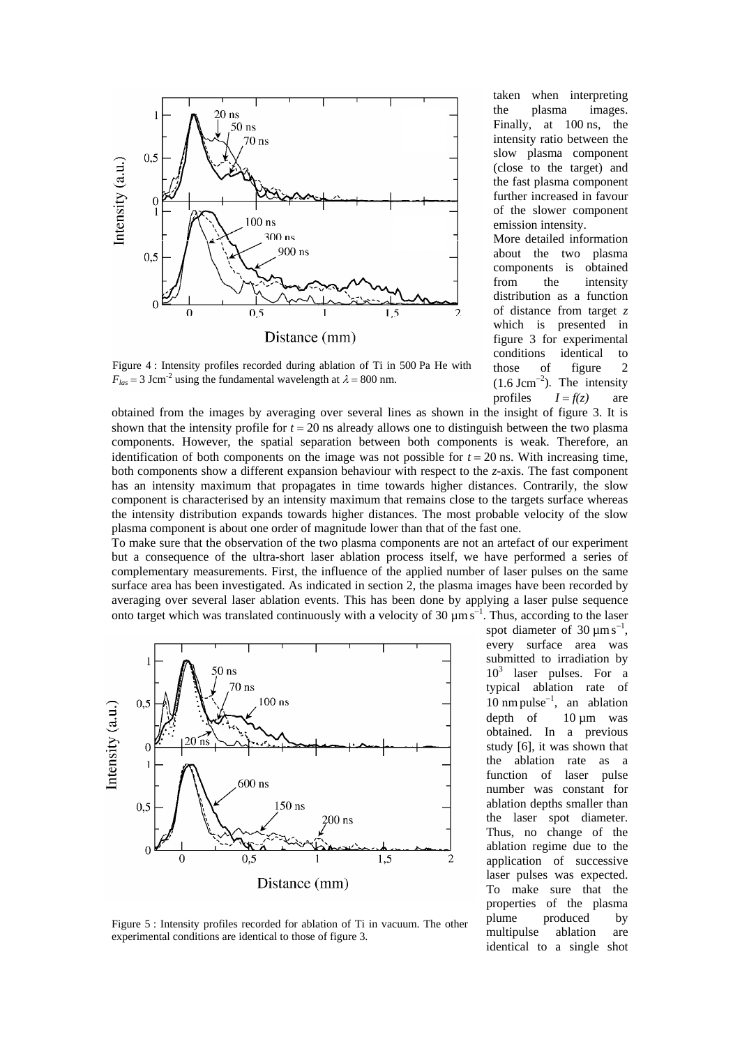

Figure 4 : Intensity profiles recorded during ablation of Ti in 500 Pa He with  $F_{las}$  = 3 Jcm<sup>-2</sup> using the fundamental wavelength at  $\lambda$  = 800 nm.

obtained from the images by averaging over several lines as shown in the insight of figure 3. It is shown that the intensity profile for  $t = 20$  ns already allows one to distinguish between the two plasma components. However, the spatial separation between both components is weak. Therefore, an identification of both components on the image was not possible for  $t = 20$  ns. With increasing time, both components show a different expansion behaviour with respect to the *z*-axis. The fast component has an intensity maximum that propagates in time towards higher distances. Contrarily, the slow component is characterised by an intensity maximum that remains close to the targets surface whereas the intensity distribution expands towards higher distances. The most probable velocity of the slow plasma component is about one order of magnitude lower than that of the fast one.

To make sure that the observation of the two plasma components are not an artefact of our experiment but a consequence of the ultra-short laser ablation process itself, we have performed a series of complementary measurements. First, the influence of the applied number of laser pulses on the same surface area has been investigated. As indicated in section 2, the plasma images have been recorded by averaging over several laser ablation events. This has been done by applying a laser pulse sequence onto target which was translated continuously with a velocity of 30  $\mu$ ms<sup>-1</sup>. Thus, according to the laser



Figure 5 : Intensity profiles recorded for ablation of Ti in vacuum. The other experimental conditions are identical to those of figure 3.

spot diameter of  $30 \mu m s^{-1}$ , every surface area was submitted to irradiation by 10<sup>3</sup> laser pulses. For a typical ablation rate of  $10 \text{ nm pulse}^{-1}$ , an ablation depth of  $10 \text{ µm}$  was obtained. In a previous study [6], it was shown that the ablation rate as a function of laser pulse number was constant for ablation depths smaller than the laser spot diameter. Thus, no change of the ablation regime due to the application of successive laser pulses was expected. To make sure that the properties of the plasma plume produced by multipulse ablation are identical to a single shot

taken when interpreting the plasma images. Finally, at 100 ns, the intensity ratio between the slow plasma component (close to the target) and the fast plasma component further increased in favour of the slower component emission intensity.

More detailed information about the two plasma components is obtained from the intensity distribution as a function of distance from target *z* which is presented in figure 3 for experimental conditions identical to those of figure 2  $(1.6 \text{ Jcm}^{-2})$ . The intensity profiles  $I = f(z)$  are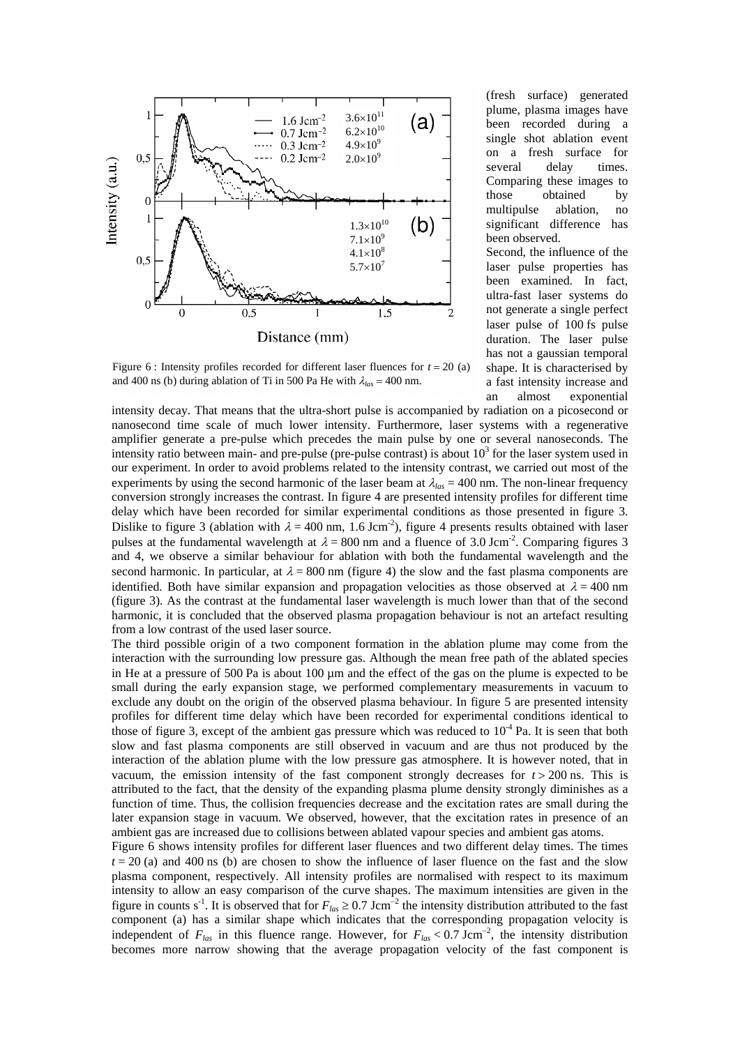

Figure 6 : Intensity profiles recorded for different laser fluences for  $t = 20$  (a) and 400 ns (b) during ablation of Ti in 500 Pa He with  $\lambda_{las} = 400$  nm.

(fresh surface) generated plume, plasma images have been recorded during a single shot ablation event on a fresh surface for several delay times. Comparing these images to those obtained by multipulse ablation, no significant difference has been observed.

Second, the influence of the laser pulse properties has been examined. In fact, ultra-fast laser systems do not generate a single perfect laser pulse of 100 fs pulse duration. The laser pulse has not a gaussian temporal shape. It is characterised by a fast intensity increase and an almost exponential

intensity decay. That means that the ultra-short pulse is accompanied by radiation on a picosecond or nanosecond time scale of much lower intensity. Furthermore, laser systems with a regenerative amplifier generate a pre-pulse which precedes the main pulse by one or several nanoseconds. The intensity ratio between main- and pre-pulse (pre-pulse contrast) is about  $10<sup>3</sup>$  for the laser system used in our experiment. In order to avoid problems related to the intensity contrast, we carried out most of the experiments by using the second harmonic of the laser beam at  $\lambda_{las} = 400$  nm. The non-linear frequency conversion strongly increases the contrast. In figure 4 are presented intensity profiles for different time delay which have been recorded for similar experimental conditions as those presented in figure 3. Dislike to figure 3 (ablation with  $\lambda = 400$  nm, 1.6 Jcm<sup>-2</sup>), figure 4 presents results obtained with laser pulses at the fundamental wavelength at  $\lambda = 800$  nm and a fluence of 3.0 Jcm<sup>-2</sup>. Comparing figures 3 and 4, we observe a similar behaviour for ablation with both the fundamental wavelength and the second harmonic. In particular, at  $\lambda = 800$  nm (figure 4) the slow and the fast plasma components are identified. Both have similar expansion and propagation velocities as those observed at  $\lambda = 400$  nm (figure 3). As the contrast at the fundamental laser wavelength is much lower than that of the second harmonic, it is concluded that the observed plasma propagation behaviour is not an artefact resulting from a low contrast of the used laser source.

The third possible origin of a two component formation in the ablation plume may come from the interaction with the surrounding low pressure gas. Although the mean free path of the ablated species in He at a pressure of 500 Pa is about 100 µm and the effect of the gas on the plume is expected to be small during the early expansion stage, we performed complementary measurements in vacuum to exclude any doubt on the origin of the observed plasma behaviour. In figure 5 are presented intensity profiles for different time delay which have been recorded for experimental conditions identical to those of figure 3, except of the ambient gas pressure which was reduced to  $10^{-4}$  Pa. It is seen that both slow and fast plasma components are still observed in vacuum and are thus not produced by the interaction of the ablation plume with the low pressure gas atmosphere. It is however noted, that in vacuum, the emission intensity of the fast component strongly decreases for  $t > 200$  ns. This is attributed to the fact, that the density of the expanding plasma plume density strongly diminishes as a function of time. Thus, the collision frequencies decrease and the excitation rates are small during the later expansion stage in vacuum. We observed, however, that the excitation rates in presence of an ambient gas are increased due to collisions between ablated vapour species and ambient gas atoms.

Figure 6 shows intensity profiles for different laser fluences and two different delay times. The times  $t = 20$  (a) and 400 ns (b) are chosen to show the influence of laser fluence on the fast and the slow plasma component, respectively. All intensity profiles are normalised with respect to its maximum intensity to allow an easy comparison of the curve shapes. The maximum intensities are given in the figure in counts s<sup>-1</sup>. It is observed that for  $F_{las} \ge 0.7$  Jcm<sup>-2</sup> the intensity distribution attributed to the fast component (a) has a similar shape which indicates that the corresponding propagation velocity is independent of  $F_{las}$  in this fluence range. However, for  $F_{las} < 0.7$  Jcm<sup>-2</sup>, the intensity distribution becomes more narrow showing that the average propagation velocity of the fast component is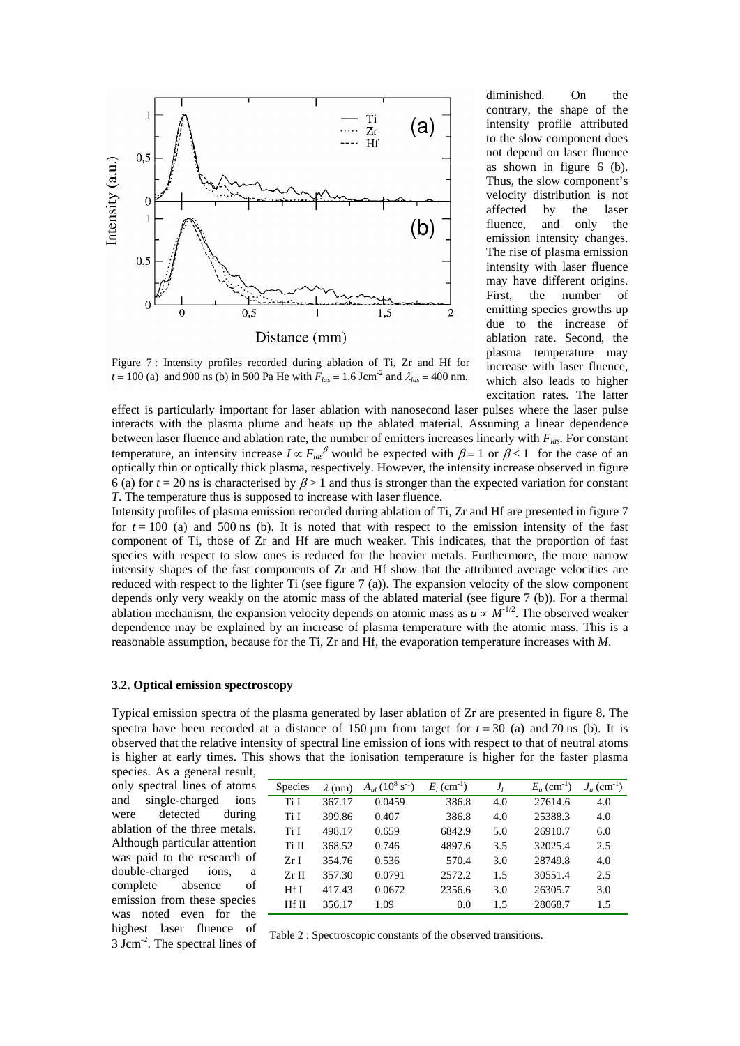

diminished. On the contrary, the shape of the intensity profile attributed to the slow component does not depend on laser fluence as shown in figure 6 (b). Thus, the slow component's velocity distribution is not affected by the laser fluence, and only the emission intensity changes. The rise of plasma emission intensity with laser fluence may have different origins. First, the number of emitting species growths up due to the increase of ablation rate. Second, the plasma temperature may increase with laser fluence, which also leads to higher excitation rates. The latter

Figure 7 : Intensity profiles recorded during ablation of Ti, Zr and Hf for  $t = 100$  (a) and 900 ns (b) in 500 Pa He with  $F_{las} = 1.6$  Jcm<sup>-2</sup> and  $\lambda_{las} = 400$  nm.

effect is particularly important for laser ablation with nanosecond laser pulses where the laser pulse interacts with the plasma plume and heats up the ablated material. Assuming a linear dependence between laser fluence and ablation rate, the number of emitters increases linearly with *Flas*. For constant temperature, an intensity increase  $I \propto F_{las}^{\beta}$  would be expected with  $\beta = 1$  or  $\beta < 1$  for the case of an optically thin or optically thick plasma, respectively. However, the intensity increase observed in figure 6 (a) for  $t = 20$  ns is characterised by  $\beta > 1$  and thus is stronger than the expected variation for constant *T*. The temperature thus is supposed to increase with laser fluence.

Intensity profiles of plasma emission recorded during ablation of Ti, Zr and Hf are presented in figure 7 for  $t = 100$  (a) and 500 ns (b). It is noted that with respect to the emission intensity of the fast component of Ti, those of Zr and Hf are much weaker. This indicates, that the proportion of fast species with respect to slow ones is reduced for the heavier metals. Furthermore, the more narrow intensity shapes of the fast components of Zr and Hf show that the attributed average velocities are reduced with respect to the lighter Ti (see figure 7 (a)). The expansion velocity of the slow component depends only very weakly on the atomic mass of the ablated material (see figure 7 (b)). For a thermal ablation mechanism, the expansion velocity depends on atomic mass as  $u \propto M^{1/2}$ . The observed weaker dependence may be explained by an increase of plasma temperature with the atomic mass. This is a reasonable assumption, because for the Ti, Zr and Hf, the evaporation temperature increases with *M*.

#### **3.2. Optical emission spectroscopy**

Typical emission spectra of the plasma generated by laser ablation of Zr are presented in figure 8. The spectra have been recorded at a distance of 150 um from target for  $t = 30$  (a) and 70 ns (b). It is observed that the relative intensity of spectral line emission of ions with respect to that of neutral atoms is higher at early times. This shows that the ionisation temperature is higher for the faster plasma species. As a general result,

only spectral lines of atoms and single-charged ions were detected during ablation of the three metals. Although particular attention was paid to the research of double-charged ions, a complete absence of emission from these species was noted even for the highest laser fluence of 3 Jcm-2. The spectral lines of

| <b>Species</b> | $\lambda$ (nm) | $A_{ul}$ (10 <sup>8</sup> s <sup>-1</sup> ) | $E_1$ (cm <sup>-1</sup> ) | $J_{I}$ | $E_u$ (cm <sup>-1</sup> ) | $J_{\mu}$ (cm <sup>-1</sup> ) |
|----------------|----------------|---------------------------------------------|---------------------------|---------|---------------------------|-------------------------------|
| Ti I           | 367.17         | 0.0459                                      | 386.8                     | 4.0     | 27614.6                   | 4.0                           |
| Ti I           | 399.86         | 0.407                                       | 386.8                     | 4.0     | 25388.3                   | 4.0                           |
| Ti I           | 498.17         | 0.659                                       | 6842.9                    | 5.0     | 26910.7                   | 6.0                           |
| Ti II          | 368.52         | 0.746                                       | 4897.6                    | 3.5     | 32025.4                   | 2.5                           |
| ZrI            | 354.76         | 0.536                                       | 570.4                     | 3.0     | 28749.8                   | 4.0                           |
| $Zr$ II        | 357.30         | 0.0791                                      | 2572.2                    | 1.5     | 30551.4                   | 2.5                           |
| Hf I           | 417.43         | 0.0672                                      | 2356.6                    | 3.0     | 26305.7                   | 3.0                           |
| <b>Hf II</b>   | 356.17         | 1.09                                        | 0.0                       | 1.5     | 28068.7                   | 1.5                           |

Table 2 : Spectroscopic constants of the observed transitions.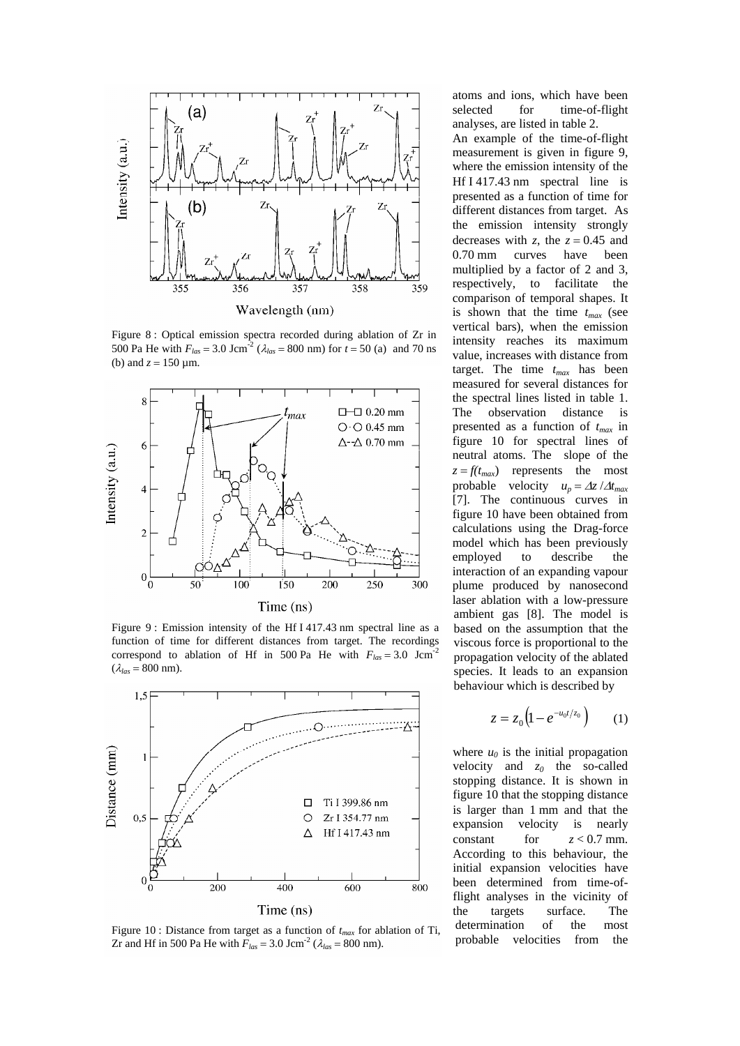

Figure 8 : Optical emission spectra recorded during ablation of Zr in 500 Pa He with  $F_{las} = 3.0$  Jcm<sup>-2</sup> ( $\lambda_{las} = 800$  nm) for  $t = 50$  (a) and 70 ns (b) and  $z = 150 \text{ µm}$ .



Figure 9 : Emission intensity of the Hf I 417.43 nm spectral line as a function of time for different distances from target. The recordings correspond to ablation of Hf in 500 Pa He with  $F_{las} = 3.0$  Jcm<sup>-2</sup>  $(\lambda_{las} = 800$  nm).



Figure 10 : Distance from target as a function of  $t_{max}$  for ablation of Ti, Zr and Hf in 500 Pa He with  $F_{las} = 3.0 \text{ Jcm}^{-2}$  ( $\lambda_{las} = 800 \text{ nm}$ ).

atoms and ions, which have been selected for time-of-flight analyses, are listed in table 2. An example of the time-of-flight measurement is given in figure 9, where the emission intensity of the Hf I 417.43 nm spectral line is presented as a function of time for different distances from target. As the emission intensity strongly decreases with *z*, the  $z = 0.45$  and 0.70 mm curves have been multiplied by a factor of 2 and 3, respectively, to facilitate the comparison of temporal shapes. It is shown that the time  $t_{max}$  (see vertical bars), when the emission intensity reaches its maximum value, increases with distance from target. The time *tmax* has been measured for several distances for the spectral lines listed in table 1. The observation distance is presented as a function of *tmax* in figure 10 for spectral lines of neutral atoms. The slope of the  $z = f(t_{max})$  represents the most probable velocity  $u_p = \Delta z / \Delta t_{max}$ [7]. The continuous curves in figure 10 have been obtained from calculations using the Drag-force model which has been previously employed to describe the interaction of an expanding vapour plume produced by nanosecond laser ablation with a low-pressure ambient gas [8]. The model is based on the assumption that the viscous force is proportional to the propagation velocity of the ablated species. It leads to an expansion behaviour which is described by

$$
z = z_0 \left( 1 - e^{-u_0 t/z_0} \right) \qquad (1)
$$

where  $u_0$  is the initial propagation velocity and  $z_0$  the so-called stopping distance. It is shown in figure 10 that the stopping distance is larger than 1 mm and that the expansion velocity is nearly constant for  $z < 0.7$  mm. According to this behaviour, the initial expansion velocities have been determined from time-offlight analyses in the vicinity of the targets surface. The determination of the most probable velocities from the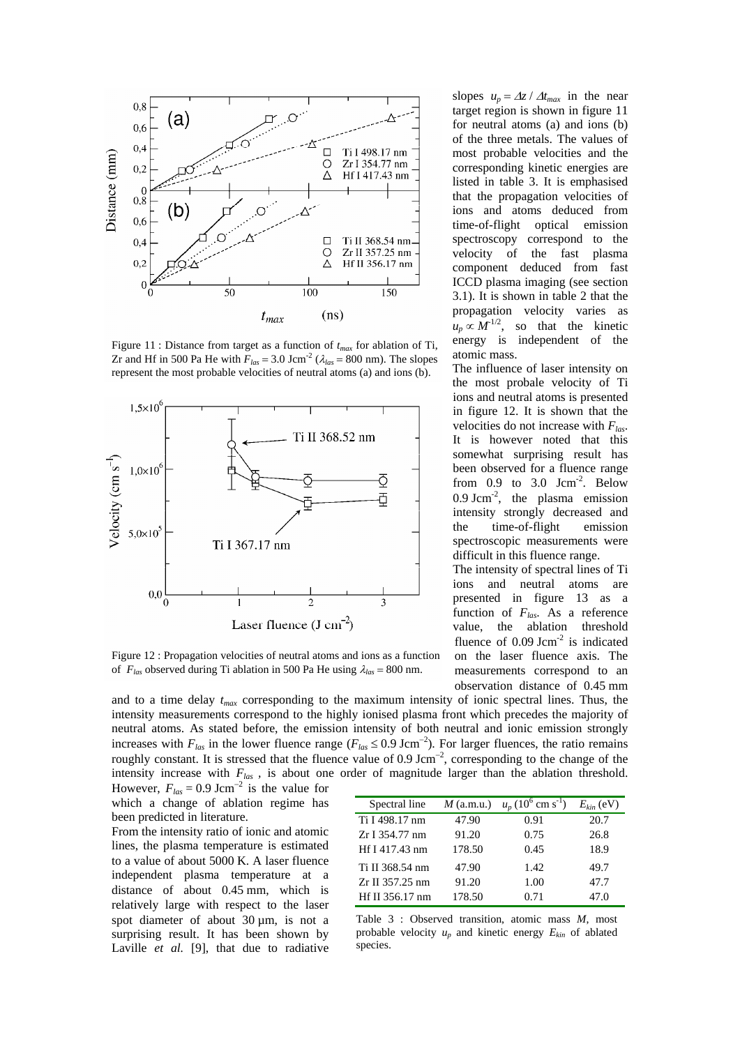

Figure 11 : Distance from target as a function of  $t_{max}$  for ablation of Ti,<br>Tr and Hf in 500 Pa He with  $F = 3.0$  Jcm<sup>-2</sup> (2 = 800 nm). The slopes atomic mass. Zr and Hf in 500 Pa He with  $F_{las} = 3.0$  Jcm<sup>-2</sup> ( $\lambda_{las} = 800$  nm). The slopes represent the most probable velocities of neutral atoms (a) and ions (b). The influence of laser intensity on



Figure 12 : Propagation velocities of neutral atoms and ions as a function of  $F_{las}$  observed during Ti ablation in 500 Pa He using  $\lambda_{las} = 800$  nm.

slopes  $u_p = \Delta z / \Delta t_{max}$  in the near target region is shown in figure 11 for neutral atoms (a) and ions (b) of the three metals. The values of most probable velocities and the corresponding kinetic energies are listed in table 3. It is emphasised that the propagation velocities of ions and atoms deduced from time-of-flight optical emission spectroscopy correspond to the velocity of the fast plasma component deduced from fast ICCD plasma imaging (see section 3.1). It is shown in table 2 that the propagation velocity varies as  $u_p \propto M^{1/2}$ , so that the kinetic energy is independent of the

the most probale velocity of Ti ions and neutral atoms is presented in figure 12. It is shown that the velocities do not increase with *Flas*. It is however noted that this somewhat surprising result has been observed for a fluence range from  $0.9$  to  $3.0$  Jcm<sup>-2</sup>. Below  $0.9$  Jcm<sup>-2</sup>, the plasma emission intensity strongly decreased and the time-of-flight emission spectroscopic measurements were difficult in this fluence range.

The intensity of spectral lines of Ti ions and neutral atoms are presented in figure 13 as a function of *Flas*. As a reference value, the ablation threshold fluence of  $0.09$  Jcm<sup>-2</sup> is indicated on the laser fluence axis. The measurements correspond to an observation distance of 0.45 mm

and to a time delay *tmax* corresponding to the maximum intensity of ionic spectral lines. Thus, the intensity measurements correspond to the highly ionised plasma front which precedes the majority of neutral atoms. As stated before, the emission intensity of both neutral and ionic emission strongly increases with  $F_{las}$  in the lower fluence range ( $F_{las}$  ≤ 0.9 Jcm<sup>-2</sup>). For larger fluences, the ratio remains roughly constant. It is stressed that the fluence value of 0.9 Jcm<sup>-2</sup>, corresponding to the change of the intensity increase with *Flas ,* is about one order of magnitude larger than the ablation threshold.

However,  $F_{las} = 0.9$  Jcm<sup>-2</sup> is the value for which a change of ablation regime has been predicted in literature.

From the intensity ratio of ionic and atomic lines, the plasma temperature is estimated to a value of about 5000 K. A laser fluence independent plasma temperature at a distance of about 0.45 mm, which is relatively large with respect to the laser spot diameter of about 30  $\mu$ m, is not a surprising result. It has been shown by Laville *et al.* [9], that due to radiative

| Spectral line   | $M$ (a.m.u.) | $u_p (10^6 \text{ cm s}^{-1})$ | $E_{kin}$ (eV) |
|-----------------|--------------|--------------------------------|----------------|
| Ti I 498.17 nm  | 47.90        | 0.91                           | 20.7           |
| Zr I 354.77 nm  | 91.20        | 0.75                           | 26.8           |
| Hf I 417.43 nm  | 178.50       | 0.45                           | 18.9           |
| Ti II 368.54 nm | 47.90        | 1.42                           | 49.7           |
| Zr II 357.25 nm | 91.20        | 1.00                           | 47.7           |
| Hf II 356.17 nm | 178.50       | 0.71                           | 47.0           |

Table 3 : Observed transition, atomic mass *M*, most probable velocity  $u_n$  and kinetic energy  $E_{kin}$  of ablated species.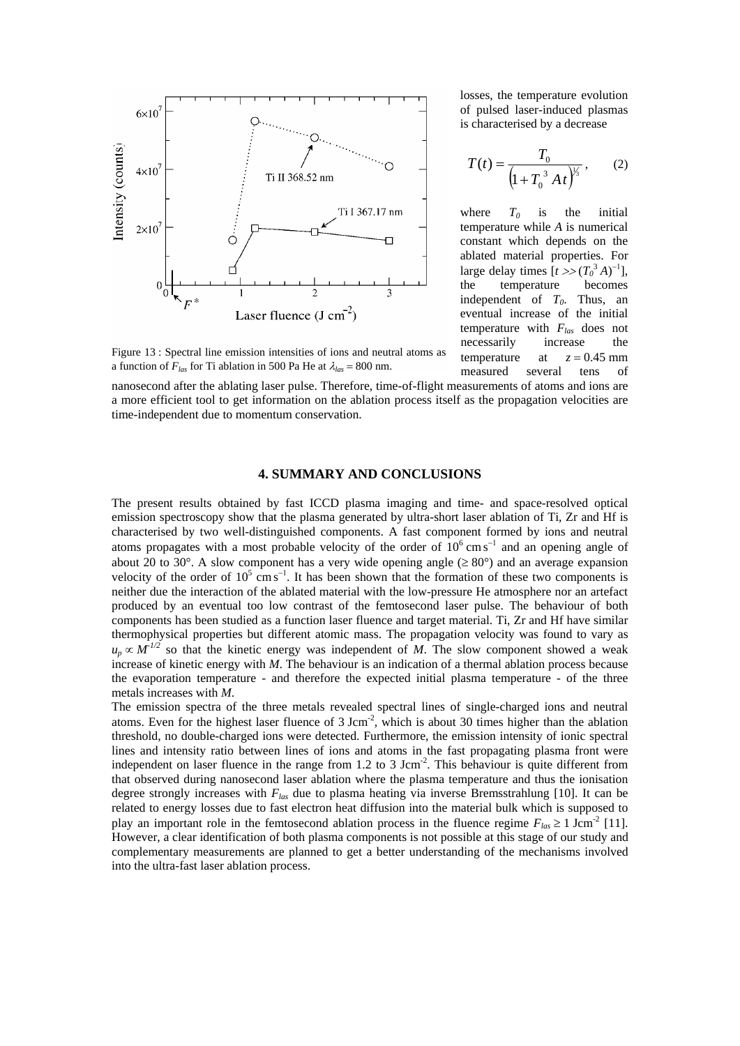

losses, the temperature evolution of pulsed laser-induced plasmas is characterised by a decrease

$$
T(t) = \frac{T_0}{\left(1 + T_0^3 A t\right)^{\frac{1}{3}}},\qquad(2)
$$

where  $T_0$  is the initial temperature while *A* is numerical constant which depends on the ablated material properties. For large delay times  $[t \gg (T_0^3 A)^{-1}]$ , the temperature becomes independent of  $T_0$ . Thus, an eventual increase of the initial temperature with  $F_{las}$  does not necessarily increase the temperature at  $z = 0.45$  mm measured several tens of

Figure 13 : Spectral line emission intensities of ions and neutral atoms as a function of  $F_{las}$  for Ti ablation in 500 Pa He at  $\lambda_{las} = 800$  nm.

nanosecond after the ablating laser pulse. Therefore, time-of-flight measurements of atoms and ions are a more efficient tool to get information on the ablation process itself as the propagation velocities are time-independent due to momentum conservation.

## **4. SUMMARY AND CONCLUSIONS**

The present results obtained by fast ICCD plasma imaging and time- and space-resolved optical emission spectroscopy show that the plasma generated by ultra-short laser ablation of Ti, Zr and Hf is characterised by two well-distinguished components. A fast component formed by ions and neutral atoms propagates with a most probable velocity of the order of  $10^6$  cm s<sup>-1</sup> and an opening angle of about 20 to 30°. A slow component has a very wide opening angle  $(\geq 80^{\circ})$  and an average expansion velocity of the order of  $10^5$  cm s<sup>-1</sup>. It has been shown that the formation of these two components is neither due the interaction of the ablated material with the low-pressure He atmosphere nor an artefact produced by an eventual too low contrast of the femtosecond laser pulse. The behaviour of both components has been studied as a function laser fluence and target material. Ti, Zr and Hf have similar thermophysical properties but different atomic mass. The propagation velocity was found to vary as  $u_p \propto M^{1/2}$  so that the kinetic energy was independent of *M*. The slow component showed a weak increase of kinetic energy with *M*. The behaviour is an indication of a thermal ablation process because the evaporation temperature - and therefore the expected initial plasma temperature - of the three metals increases with *M*.

The emission spectra of the three metals revealed spectral lines of single-charged ions and neutral atoms. Even for the highest laser fluence of  $3 \text{ Jcm}^2$ , which is about 30 times higher than the ablation threshold, no double-charged ions were detected. Furthermore, the emission intensity of ionic spectral lines and intensity ratio between lines of ions and atoms in the fast propagating plasma front were independent on laser fluence in the range from 1.2 to 3 Jcm<sup>-2</sup>. This behaviour is quite different from that observed during nanosecond laser ablation where the plasma temperature and thus the ionisation degree strongly increases with *Flas* due to plasma heating via inverse Bremsstrahlung [10]. It can be related to energy losses due to fast electron heat diffusion into the material bulk which is supposed to play an important role in the femtosecond ablation process in the fluence regime  $F_{las} \ge 1$  Jcm<sup>-2</sup> [11]. However, a clear identification of both plasma components is not possible at this stage of our study and complementary measurements are planned to get a better understanding of the mechanisms involved into the ultra-fast laser ablation process.